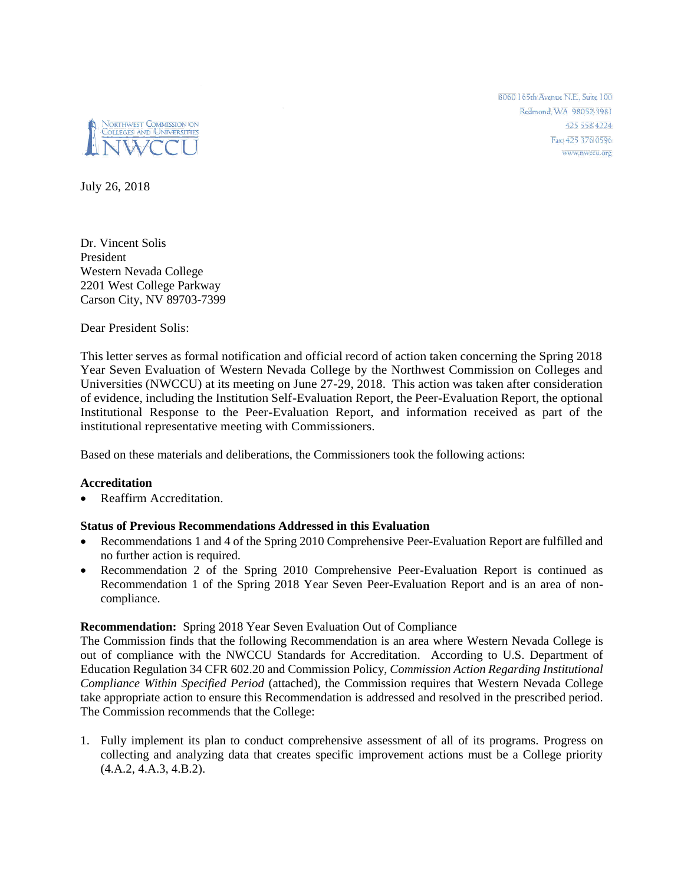

8060 165th Avenue N.E., Suite 100 Redmond, WA 98052-3981 425 558 4224 Fax: 425 376 0596 www.nwccu.org

July 26, 2018

Dr. Vincent Solis President Western Nevada College 2201 West College Parkway Carson City, NV 89703-7399

Dear President Solis:

This letter serves as formal notification and official record of action taken concerning the Spring 2018 Year Seven Evaluation of Western Nevada College by the Northwest Commission on Colleges and Universities (NWCCU) at its meeting on June 27-29, 2018. This action was taken after consideration of evidence, including the Institution Self-Evaluation Report, the Peer-Evaluation Report, the optional Institutional Response to the Peer-Evaluation Report, and information received as part of the institutional representative meeting with Commissioners.

Based on these materials and deliberations, the Commissioners took the following actions:

## **Accreditation**

• Reaffirm Accreditation.

## **Status of Previous Recommendations Addressed in this Evaluation**

- Recommendations 1 and 4 of the Spring 2010 Comprehensive Peer-Evaluation Report are fulfilled and no further action is required.
- Recommendation 2 of the Spring 2010 Comprehensive Peer-Evaluation Report is continued as Recommendation 1 of the Spring 2018 Year Seven Peer-Evaluation Report and is an area of noncompliance.

## **Recommendation:** Spring 2018 Year Seven Evaluation Out of Compliance

The Commission finds that the following Recommendation is an area where Western Nevada College is out of compliance with the NWCCU Standards for Accreditation. According to U.S. Department of Education Regulation 34 CFR 602.20 and Commission Policy, *Commission Action Regarding Institutional Compliance Within Specified Period* (attached), the Commission requires that Western Nevada College take appropriate action to ensure this Recommendation is addressed and resolved in the prescribed period. The Commission recommends that the College:

1. Fully implement its plan to conduct comprehensive assessment of all of its programs. Progress on collecting and analyzing data that creates specific improvement actions must be a College priority (4.A.2, 4.A.3, 4.B.2).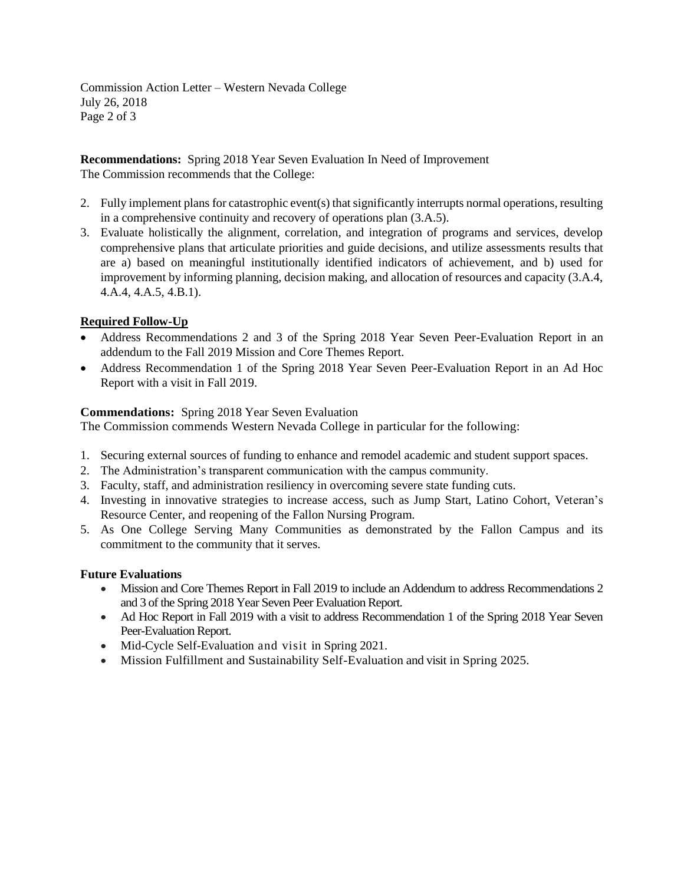Commission Action Letter – Western Nevada College July 26, 2018 Page 2 of 3

**Recommendations:** Spring 2018 Year Seven Evaluation In Need of Improvement The Commission recommends that the College:

- 2. Fully implement plans for catastrophic event(s) that significantly interrupts normal operations, resulting in a comprehensive continuity and recovery of operations plan (3.A.5).
- 3. Evaluate holistically the alignment, correlation, and integration of programs and services, develop comprehensive plans that articulate priorities and guide decisions, and utilize assessments results that are a) based on meaningful institutionally identified indicators of achievement, and b) used for improvement by informing planning, decision making, and allocation of resources and capacity (3.A.4, 4.A.4, 4.A.5, 4.B.1).

# **Required Follow-Up**

- Address Recommendations 2 and 3 of the Spring 2018 Year Seven Peer-Evaluation Report in an addendum to the Fall 2019 Mission and Core Themes Report.
- Address Recommendation 1 of the Spring 2018 Year Seven Peer-Evaluation Report in an Ad Hoc Report with a visit in Fall 2019.

# **Commendations:** Spring 2018 Year Seven Evaluation

The Commission commends Western Nevada College in particular for the following:

- 1. Securing external sources of funding to enhance and remodel academic and student support spaces.
- 2. The Administration's transparent communication with the campus community.
- 3. Faculty, staff, and administration resiliency in overcoming severe state funding cuts.
- 4. Investing in innovative strategies to increase access, such as Jump Start, Latino Cohort, Veteran's Resource Center, and reopening of the Fallon Nursing Program.
- 5. As One College Serving Many Communities as demonstrated by the Fallon Campus and its commitment to the community that it serves.

## **Future Evaluations**

- Mission and Core Themes Report in Fall 2019 to include an Addendum to address Recommendations 2 and 3 of the Spring 2018 Year Seven Peer Evaluation Report.
- Ad Hoc Report in Fall 2019 with a visit to address Recommendation 1 of the Spring 2018 Year Seven Peer-Evaluation Report.
- Mid-Cycle Self-Evaluation and visit in Spring 2021.
- Mission Fulfillment and Sustainability Self-Evaluation and visit in Spring 2025.